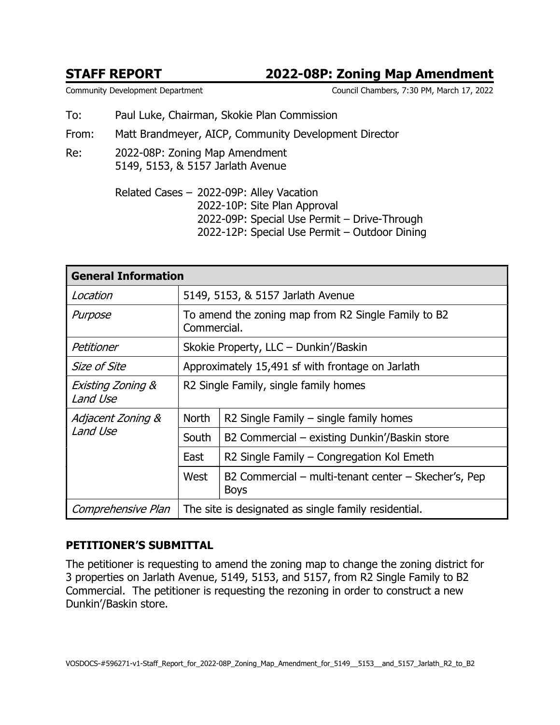## STAFF REPORT 2022-08P: Zoning Map Amendment

Community Development Department Council Chambers, 7:30 PM, March 17, 2022

- To: Paul Luke, Chairman, Skokie Plan Commission
- From: Matt Brandmeyer, AICP, Community Development Director
- Re: 2022-08P: Zoning Map Amendment 5149, 5153, & 5157 Jarlath Avenue

Related Cases – 2022-09P: Alley Vacation 2022-10P: Site Plan Approval 2022-09P: Special Use Permit – Drive-Through 2022-12P: Special Use Permit – Outdoor Dining

| <b>General Information</b>               |                                                                    |                                                                     |  |
|------------------------------------------|--------------------------------------------------------------------|---------------------------------------------------------------------|--|
| Location                                 | 5149, 5153, & 5157 Jarlath Avenue                                  |                                                                     |  |
| Purpose                                  | To amend the zoning map from R2 Single Family to B2<br>Commercial. |                                                                     |  |
| Petitioner                               | Skokie Property, LLC - Dunkin'/Baskin                              |                                                                     |  |
| Size of Site                             | Approximately 15,491 sf with frontage on Jarlath                   |                                                                     |  |
| <b>Existing Zoning &amp;</b><br>Land Use | R2 Single Family, single family homes                              |                                                                     |  |
| Adjacent Zoning &<br>Land Use            | <b>North</b>                                                       | R2 Single Family $-$ single family homes                            |  |
|                                          | South                                                              | B2 Commercial – existing Dunkin'/Baskin store                       |  |
|                                          | East                                                               | R2 Single Family – Congregation Kol Emeth                           |  |
|                                          | West                                                               | B2 Commercial – multi-tenant center – Skecher's, Pep<br><b>Boys</b> |  |
| Comprehensive Plan                       | The site is designated as single family residential.               |                                                                     |  |

### PETITIONER'S SUBMITTAL

The petitioner is requesting to amend the zoning map to change the zoning district for 3 properties on Jarlath Avenue, 5149, 5153, and 5157, from R2 Single Family to B2 Commercial. The petitioner is requesting the rezoning in order to construct a new Dunkin'/Baskin store.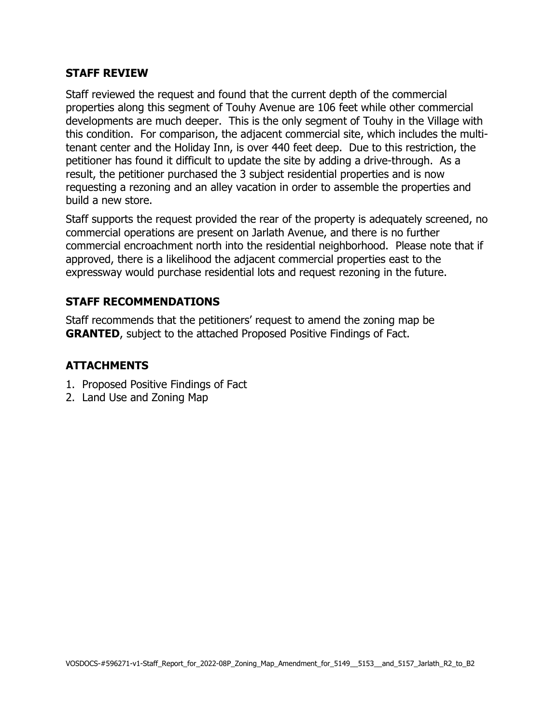#### STAFF REVIEW

Staff reviewed the request and found that the current depth of the commercial properties along this segment of Touhy Avenue are 106 feet while other commercial developments are much deeper. This is the only segment of Touhy in the Village with this condition. For comparison, the adjacent commercial site, which includes the multitenant center and the Holiday Inn, is over 440 feet deep. Due to this restriction, the petitioner has found it difficult to update the site by adding a drive-through. As a result, the petitioner purchased the 3 subject residential properties and is now requesting a rezoning and an alley vacation in order to assemble the properties and build a new store.

Staff supports the request provided the rear of the property is adequately screened, no commercial operations are present on Jarlath Avenue, and there is no further commercial encroachment north into the residential neighborhood. Please note that if approved, there is a likelihood the adjacent commercial properties east to the expressway would purchase residential lots and request rezoning in the future.

### STAFF RECOMMENDATIONS

Staff recommends that the petitioners' request to amend the zoning map be GRANTED, subject to the attached Proposed Positive Findings of Fact.

#### ATTACHMENTS

- 1. Proposed Positive Findings of Fact
- 2. Land Use and Zoning Map